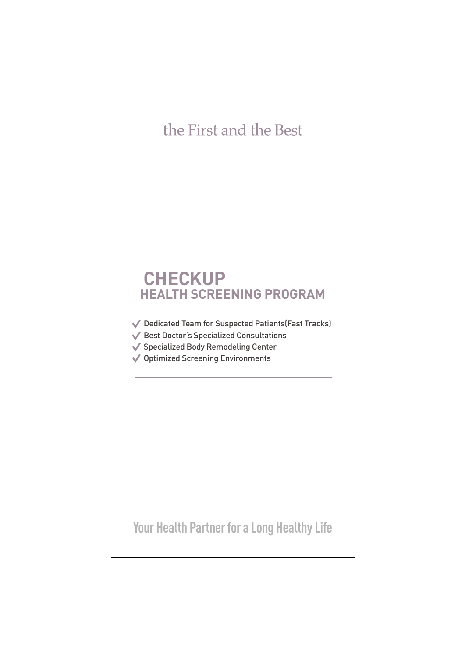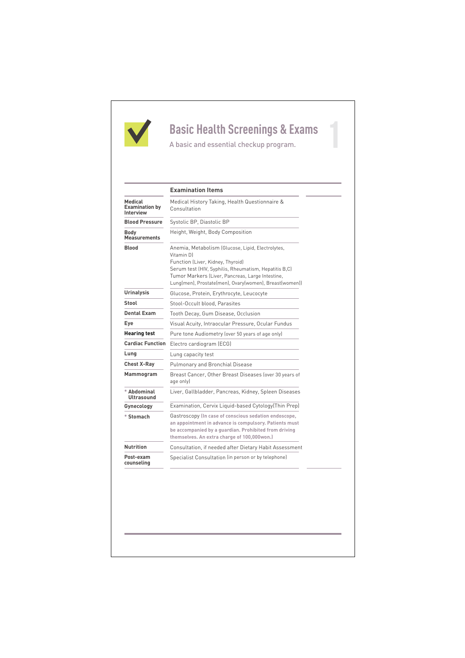

# **Basic Health Screenings & Exams**

|                                                      | <b>Examination Items</b>                                                                                                                                                                                                                                                    |
|------------------------------------------------------|-----------------------------------------------------------------------------------------------------------------------------------------------------------------------------------------------------------------------------------------------------------------------------|
| Medical<br><b>Examination by</b><br><b>Interview</b> | Medical History Taking, Health Questionnaire &<br>Consultation                                                                                                                                                                                                              |
| <b>Blood Pressure</b>                                | Systolic BP, Diastolic BP                                                                                                                                                                                                                                                   |
| Body<br><b>Measurements</b>                          | Height, Weight, Body Composition                                                                                                                                                                                                                                            |
| <b>Blood</b>                                         | Anemia, Metabolism (Glucose, Lipid, Electrolytes,<br>Vitamin DI<br>Function (Liver, Kidney, Thyroid)<br>Serum test (HIV, Syphilis, Rheumatism, Hepatitis B,C)<br>Tumor Markers (Liver, Pancreas, Large Intestine,<br>Lung(men), Prostate(men), Ovary(women), Breast(women)) |
| <b>Urinalysis</b>                                    | Glucose, Protein, Erythrocyte, Leucocyte                                                                                                                                                                                                                                    |
| Stool                                                | Stool-Occult blood. Parasites                                                                                                                                                                                                                                               |
| <b>Dental Exam</b>                                   | Tooth Decay, Gum Disease, Occlusion                                                                                                                                                                                                                                         |
| Eye                                                  | Visual Acuity, Intraocular Pressure, Ocular Fundus                                                                                                                                                                                                                          |
| <b>Hearing test</b>                                  | Pure tone Audiometry (over 50 years of age only)                                                                                                                                                                                                                            |
| <b>Cardiac Function</b>                              | Electro cardiogram (ECG)                                                                                                                                                                                                                                                    |
| Lung                                                 | Lung capacity test                                                                                                                                                                                                                                                          |
| <b>Chest X-Ray</b>                                   | <b>Pulmonary and Bronchial Disease</b>                                                                                                                                                                                                                                      |
| Mammogram                                            | Breast Cancer, Other Breast Diseases (over 30 years of<br>age only)                                                                                                                                                                                                         |
| * Abdominal<br><b>Ultrasound</b>                     | Liver, Gallbladder, Pancreas, Kidney, Spleen Diseases                                                                                                                                                                                                                       |
| Gynecology                                           | Examination, Cervix Liquid-based Cytology(Thin Prep)                                                                                                                                                                                                                        |
| * Stomach                                            | Gastroscopy (In case of conscious sedation endoscope,<br>an appointment in advance is compulsory. Patients must<br>be accompanied by a guardian. Prohibited from driving<br>themselves. An extra charge of 100,000won.)                                                     |
| <b>Nutrition</b>                                     | Consultation, if needed after Dietary Habit Assessment                                                                                                                                                                                                                      |
| Post-exam<br>counseling                              | Specialist Consultation (in person or by telephone)                                                                                                                                                                                                                         |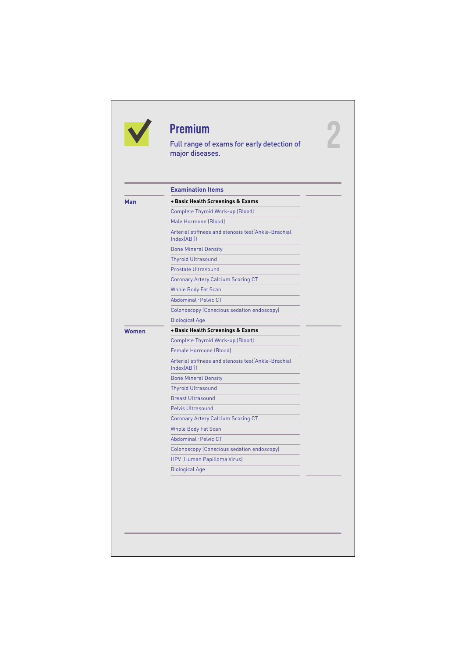|              | <b>Premium</b><br>Full range of exams for early detection of<br>major diseases. |  |
|--------------|---------------------------------------------------------------------------------|--|
|              | <b>Examination Items</b>                                                        |  |
| Man          | + Basic Health Screenings & Exams                                               |  |
|              | Complete Thyroid Work-up (Blood)                                                |  |
|              | Male Hormone (Blood)                                                            |  |
|              | Arterial stiffness and stenosis test(Ankle-Brachial<br>Index(ABI)               |  |
|              | <b>Bone Mineral Density</b>                                                     |  |
|              | <b>Thyroid Ultrasound</b>                                                       |  |
|              | Prostate Ultrasound                                                             |  |
|              | <b>Coronary Artery Calcium Scoring CT</b>                                       |  |
|              | <b>Whole Body Fat Scan</b>                                                      |  |
|              | Abdominal · Pelvic CT                                                           |  |
|              | Colonoscopy (Conscious sedation endoscopy)                                      |  |
|              | <b>Biological Age</b>                                                           |  |
| <b>Women</b> | + Basic Health Screenings & Exams                                               |  |
|              | Complete Thyroid Work-up (Blood)                                                |  |
|              | Female Hormone (Blood)                                                          |  |
|              | Arterial stiffness and stenosis test(Ankle-Brachial<br>Index(ABI)               |  |
|              | <b>Bone Mineral Density</b>                                                     |  |
|              | <b>Thyroid Ultrasound</b>                                                       |  |
|              | <b>Breast Ultrasound</b>                                                        |  |
|              | <b>Pelvis Ultrasound</b>                                                        |  |
|              | <b>Coronary Artery Calcium Scoring CT</b>                                       |  |
|              | <b>Whole Body Fat Scan</b>                                                      |  |
|              | Abdominal · Pelvic CT                                                           |  |
|              | Colonoscopy (Conscious sedation endoscopy)                                      |  |
|              | HPV (Human Papilloma Virus)                                                     |  |
|              | <b>Biological Age</b>                                                           |  |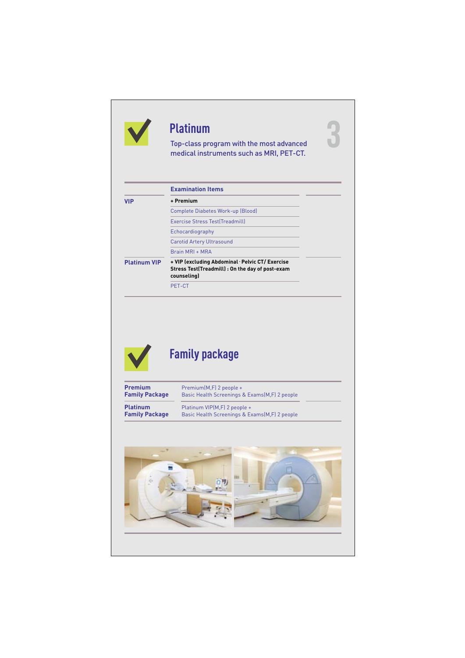|                                                                                     | <b>Platinum</b>                                                                                                     |
|-------------------------------------------------------------------------------------|---------------------------------------------------------------------------------------------------------------------|
|                                                                                     | Top-class program with the most advanced<br>medical instruments such as MRI, PET-CT.                                |
|                                                                                     | <b>Examination Items</b>                                                                                            |
| <b>VIP</b>                                                                          | + Premium                                                                                                           |
|                                                                                     | <b>Complete Diabetes Work-up (Blood)</b>                                                                            |
|                                                                                     | <b>Exercise Stress Test(Treadmill)</b>                                                                              |
|                                                                                     | Echocardiography                                                                                                    |
|                                                                                     | Carotid Artery Ultrasound                                                                                           |
|                                                                                     | Brain MRI + MRA                                                                                                     |
| <b>Platinum VIP</b>                                                                 | + VIP (excluding Abdominal · Pelvic CT/ Exercise<br>Stress Test(Treadmill) : On the day of post-exam<br>counseling) |
|                                                                                     |                                                                                                                     |
|                                                                                     | PET-CT                                                                                                              |
|                                                                                     | <b>Family package</b>                                                                                               |
|                                                                                     | Premium(M,F) 2 people +<br>Basic Health Screenings & Exams(M,F) 2 people                                            |
| <b>Premium</b><br><b>Family Package</b><br><b>Platinum</b><br><b>Family Package</b> | Platinum VIP(M,F) 2 people +<br>Basic Health Screenings & Exams(M,F) 2 people                                       |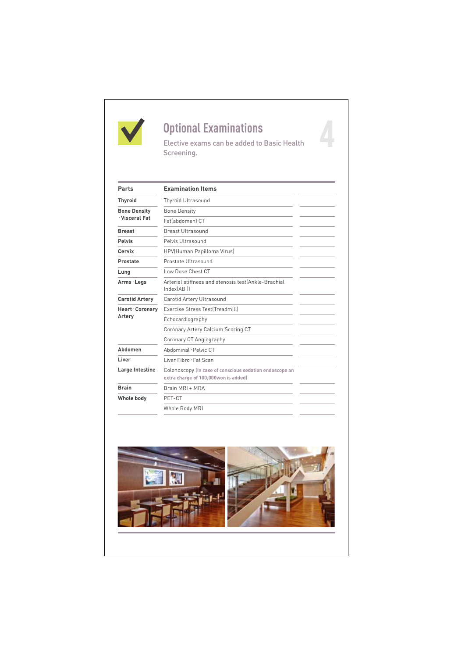

# **Optional Examinations**

Elective exams can be added to Basic Health Screening.

| Parts                                 | <b>Examination Items</b>                                                                        |
|---------------------------------------|-------------------------------------------------------------------------------------------------|
| <b>Thyroid</b>                        | <b>Thyroid Ultrasound</b>                                                                       |
| <b>Bone Density</b><br>· Visceral Fat | <b>Bone Density</b>                                                                             |
|                                       | Fatlabdomenl CT                                                                                 |
| <b>Breast</b>                         | <b>Breast Ultrasound</b>                                                                        |
| <b>Pelvis</b>                         | Pelvis Ultrasound                                                                               |
| Cervix                                | HPV(Human Papilloma Virus)                                                                      |
| Prostate                              | Prostate Ultrasound                                                                             |
| Lung                                  | Low Dose Chest CT                                                                               |
| Arms · Legs                           | Arterial stiffness and stenosis test(Ankle-Brachial<br>Index[ABI]]                              |
| <b>Carotid Artery</b>                 | Carotid Artery Ultrasound                                                                       |
| Heart · Coronary                      | Exercise Stress Test(Treadmill)                                                                 |
| Artery                                | Echocardiography                                                                                |
|                                       | Coronary Artery Calcium Scoring CT                                                              |
|                                       | Coronary CT Angiography                                                                         |
| Ahdomen                               | Ahdominal · Pelvic CT                                                                           |
| Liver                                 | Liver Fibro · Fat Scan                                                                          |
| Large Intestine                       | Colonoscopy (In case of conscious sedation endoscope an<br>extra charge of 100,000won is added) |
| <b>Brain</b>                          | <b>Brain MRI + MRA</b>                                                                          |
| Whole body                            | PET-CT                                                                                          |
|                                       | Whole Body MRI                                                                                  |
|                                       |                                                                                                 |

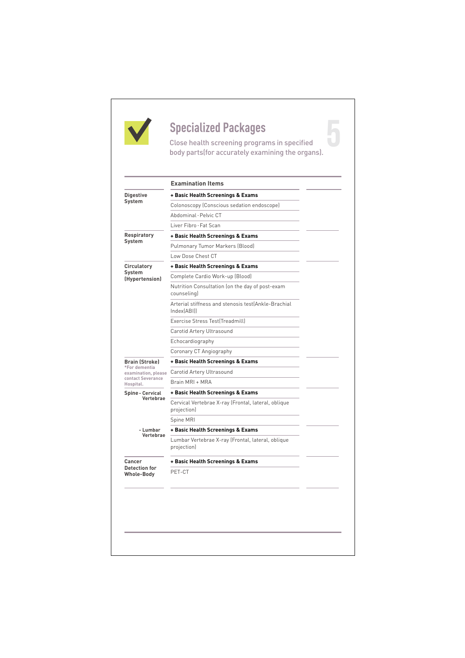

**Specialized Packages**<br>Close health screening programs in specified Close health screening programs in specified body parts(for accurately examining the organs).

|                                      | <b>Examination Items</b>                                           |
|--------------------------------------|--------------------------------------------------------------------|
| <b>Digestive</b>                     | + Basic Health Screenings & Exams                                  |
| System                               | Colonoscopy (Conscious sedation endoscope)                         |
|                                      | Abdominal · Pelvic CT                                              |
|                                      | Liver Fibro · Fat Scan                                             |
| <b>Respiratory</b><br>System         | + Basic Health Screenings & Exams                                  |
|                                      | Pulmonary Tumor Markers (Blood)                                    |
|                                      | Low Dose Chest CT                                                  |
| Circulatory                          | + Basic Health Screenings & Exams                                  |
| System<br>(Hypertension)             | Complete Cardio Work-up (Blood)                                    |
|                                      | Nutrition Consultation (on the day of post-exam<br>counseling)     |
|                                      | Arterial stiffness and stenosis test(Ankle-Brachial<br>Index[ABI]] |
|                                      | Exercise Stress Test(Treadmill)                                    |
|                                      | Carotid Artery Ultrasound                                          |
|                                      | Echocardiography                                                   |
|                                      | Coronary CT Angiography                                            |
| <b>Brain (Stroke)</b>                | + Basic Health Screenings & Exams                                  |
| *For dementia<br>examination, please | Carotid Artery Ultrasound                                          |
| contact Severance<br>Hospital.       | Brain MRI + MRA                                                    |
| Spine - Cervical                     | + Basic Health Screenings & Exams                                  |
| Vertebrae                            | Cervical Vertebrae X-ray (Frontal, lateral, oblique<br>projection) |
|                                      | Spine MRI                                                          |
| - Lumbar                             | + Basic Health Screenings & Exams                                  |
| Vertebrae                            | Lumbar Vertebrae X-ray (Frontal, lateral, oblique<br>projection)   |
| Cancer                               | + Basic Health Screenings & Exams                                  |
|                                      |                                                                    |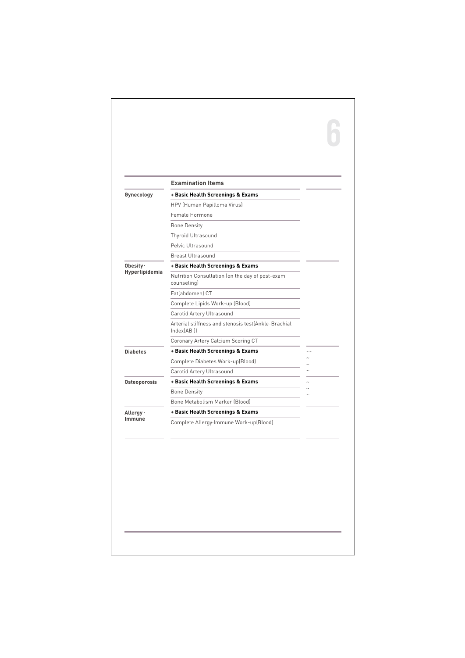|                             | <b>Examination Items</b>                                           |  |
|-----------------------------|--------------------------------------------------------------------|--|
| Gynecology                  | + Basic Health Screenings & Exams                                  |  |
|                             | HPV (Human Papilloma Virus)                                        |  |
|                             | Female Hormone                                                     |  |
|                             | <b>Bone Density</b>                                                |  |
|                             | Thyroid Ultrasound                                                 |  |
|                             | Pelvic Ultrasound                                                  |  |
|                             | <b>Breast Ultrasound</b>                                           |  |
| Obesity ·<br>Hyperlipidemia | + Basic Health Screenings & Exams                                  |  |
|                             | Nutrition Consultation (on the day of post-exam<br>counseling)     |  |
|                             | Fatlabdomenl CT                                                    |  |
|                             | Complete Lipids Work-up (Blood)                                    |  |
|                             | Carotid Artery Ultrasound                                          |  |
|                             | Arterial stiffness and stenosis test(Ankle-Brachial<br>Index(ABI)) |  |
|                             | Coronary Artery Calcium Scoring CT                                 |  |
| <b>Diabetes</b>             | + Basic Health Screenings & Exams                                  |  |
|                             | Complete Diabetes Work-up(Blood)                                   |  |
|                             | Carotid Artery Ultrasound                                          |  |
| Osteoporosis                | + Basic Health Screenings & Exams                                  |  |
|                             | <b>Bone Density</b>                                                |  |
|                             | Bone Metabolism Marker (Blood)                                     |  |
| Allergy ·<br>Immune         | + Basic Health Screenings & Exams                                  |  |
|                             | Complete Allergy Immune Work-up(Blood)                             |  |
|                             |                                                                    |  |
|                             |                                                                    |  |
|                             |                                                                    |  |
|                             |                                                                    |  |
|                             |                                                                    |  |
|                             |                                                                    |  |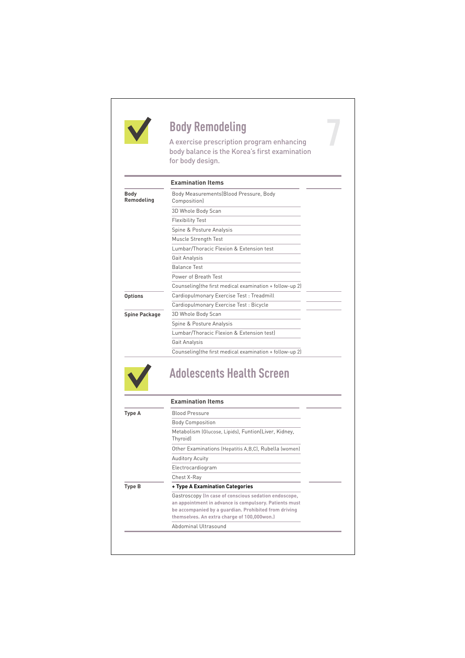

**Body Remodeling**<br>A exercise prescription program enhancing<br>body balance is the Korea's first examination A exercise prescription program enhancing body balance is the Korea's first examination for body design.

|                           | <b>Examination Items</b>                                 |
|---------------------------|----------------------------------------------------------|
| <b>Body</b><br>Remodeling | Body Measurements (Blood Pressure, Body<br>Composition)  |
|                           | 3D Whole Body Scan                                       |
|                           | <b>Flexibility Test</b>                                  |
|                           | Spine & Posture Analysis                                 |
|                           | Muscle Strength Test                                     |
|                           | Lumbar/Thoracic Flexion & Extension test                 |
|                           | Gait Analysis                                            |
|                           | <b>Balance Test</b>                                      |
|                           | Power of Breath Test                                     |
|                           | Counseling (the first medical examination + follow-up 2) |
| <b>Options</b>            | Cardiopulmonary Exercise Test: Treadmill                 |
|                           | Cardiopulmonary Exercise Test : Bicycle                  |
| <b>Spine Package</b>      | 3D Whole Body Scan                                       |
|                           | Spine & Posture Analysis                                 |
|                           | Lumbar/Thoracic Flexion & Extension testl                |
|                           | Gait Analysis                                            |
|                           | Counseling (the first medical examination + follow-up 2) |

### **Adolescents Health Screen**

|        | <b>Examination Items</b>                                                                                                                                                                                                |
|--------|-------------------------------------------------------------------------------------------------------------------------------------------------------------------------------------------------------------------------|
| Type A | <b>Blood Pressure</b>                                                                                                                                                                                                   |
|        | <b>Body Composition</b>                                                                                                                                                                                                 |
|        | Metabolism (Glucose, Lipids), Funtion(Liver, Kidney,<br>Thyroid)                                                                                                                                                        |
|        | Other Examinations (Hepatitis A, B, C), Rubella (women)                                                                                                                                                                 |
|        | <b>Auditory Acuity</b>                                                                                                                                                                                                  |
|        | Electrocardiogram                                                                                                                                                                                                       |
|        | Chest X-Ray                                                                                                                                                                                                             |
| Type B | + Type A Examination Categories                                                                                                                                                                                         |
|        | Gastroscopy (In case of conscious sedation endoscope,<br>an appointment in advance is compulsory. Patients must<br>be accompanied by a quardian. Prohibited from driving<br>themselves. An extra charge of 100,000won.) |
|        | Abdominal Ultrasound                                                                                                                                                                                                    |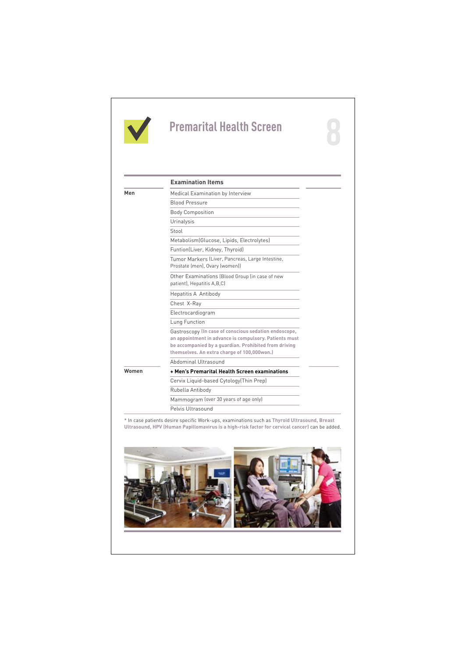

## **Premarital Health Screen**

|       | <b>Examination Items</b>                                                                                                                                                                                                |
|-------|-------------------------------------------------------------------------------------------------------------------------------------------------------------------------------------------------------------------------|
| Men   | Medical Examination by Interview                                                                                                                                                                                        |
|       | <b>Blood Pressure</b>                                                                                                                                                                                                   |
|       | <b>Body Composition</b>                                                                                                                                                                                                 |
|       | Urinalysis                                                                                                                                                                                                              |
|       | Stool                                                                                                                                                                                                                   |
|       | Metabolism (Glucose, Lipids, Electrolytes)                                                                                                                                                                              |
|       | Funtion(Liver, Kidney, Thyroid)                                                                                                                                                                                         |
|       | Tumor Markers (Liver, Pancreas, Large Intestine,<br>Prostate (men), Ovary (women))                                                                                                                                      |
|       | Other Examinations (Blood Group (in case of new<br>patient), Hepatitis A,B,C)                                                                                                                                           |
|       | <b>Hepatitis A Antibody</b>                                                                                                                                                                                             |
|       | Chest X-Ray                                                                                                                                                                                                             |
|       | Electrocardiogram                                                                                                                                                                                                       |
|       | Lung Function                                                                                                                                                                                                           |
|       | Gastroscopy (In case of conscious sedation endoscope,<br>an appointment in advance is compulsory. Patients must<br>be accompanied by a quardian. Prohibited from driving<br>themselves. An extra charge of 100,000won.) |
|       | Abdominal Ultrasound                                                                                                                                                                                                    |
| Women | + Men's Premarital Health Screen examinations                                                                                                                                                                           |
|       | Cervix Liquid-based Cytology(Thin Prep)                                                                                                                                                                                 |
|       | Rubella Antibody                                                                                                                                                                                                        |
|       | Mammogram (over 30 years of age only)                                                                                                                                                                                   |
|       | Pelvis Ultrasound                                                                                                                                                                                                       |

**\*** In case patients desire specific Work-ups, examinations such as **Thyroid Ultrasound, Breast Ultrasound, HPV (Human Papillomavirus is a high-risk factor for cervical cancer)** can be added.